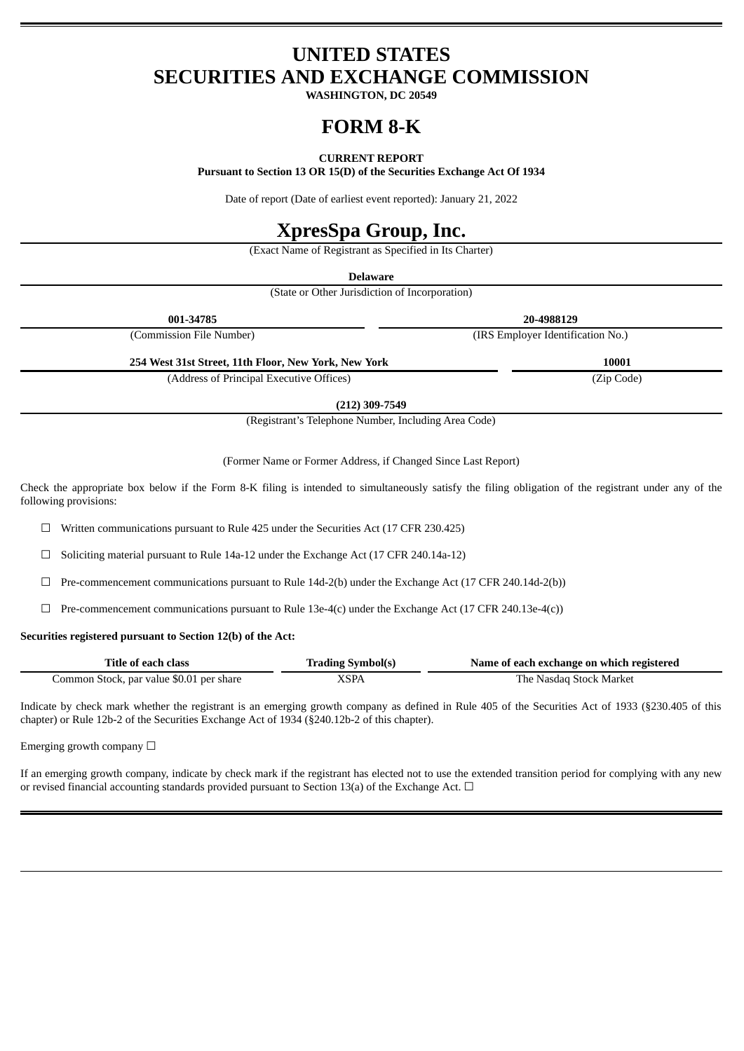# **UNITED STATES SECURITIES AND EXCHANGE COMMISSION**

**WASHINGTON, DC 20549**

# **FORM 8-K**

## **CURRENT REPORT**

**Pursuant to Section 13 OR 15(D) of the Securities Exchange Act Of 1934**

Date of report (Date of earliest event reported): January 21, 2022

# **XpresSpa Group, Inc.**

(Exact Name of Registrant as Specified in Its Charter)

**Delaware**

(State or Other Jurisdiction of Incorporation)

| 001-34785                                            | 20-4988129                        |
|------------------------------------------------------|-----------------------------------|
| (Commission File Number)                             | (IRS Employer Identification No.) |
| 254 West 31st Street, 11th Floor, New York, New York | 10001                             |
| (Address of Principal Executive Offices)             | (Zip Code)                        |

**(212) 309-7549**

(Registrant's Telephone Number, Including Area Code)

(Former Name or Former Address, if Changed Since Last Report)

Check the appropriate box below if the Form 8-K filing is intended to simultaneously satisfy the filing obligation of the registrant under any of the following provisions:

☐ Written communications pursuant to Rule 425 under the Securities Act (17 CFR 230.425)

☐ Soliciting material pursuant to Rule 14a-12 under the Exchange Act (17 CFR 240.14a-12)

 $\Box$  Pre-commencement communications pursuant to Rule 14d-2(b) under the Exchange Act (17 CFR 240.14d-2(b))

 $\Box$  Pre-commencement communications pursuant to Rule 13e-4(c) under the Exchange Act (17 CFR 240.13e-4(c))

### **Securities registered pursuant to Section 12(b) of the Act:**

| Title of each class                      | <b>Trading Symbol(s)</b> | Name of each exchange on which registered |
|------------------------------------------|--------------------------|-------------------------------------------|
| Common Stock, par value \$0.01 per share | XSPA                     | The Nasdag Stock Market                   |

Indicate by check mark whether the registrant is an emerging growth company as defined in Rule 405 of the Securities Act of 1933 (§230.405 of this chapter) or Rule 12b-2 of the Securities Exchange Act of 1934 (§240.12b-2 of this chapter).

Emerging growth company  $\Box$ 

If an emerging growth company, indicate by check mark if the registrant has elected not to use the extended transition period for complying with any new or revised financial accounting standards provided pursuant to Section 13(a) of the Exchange Act.  $\Box$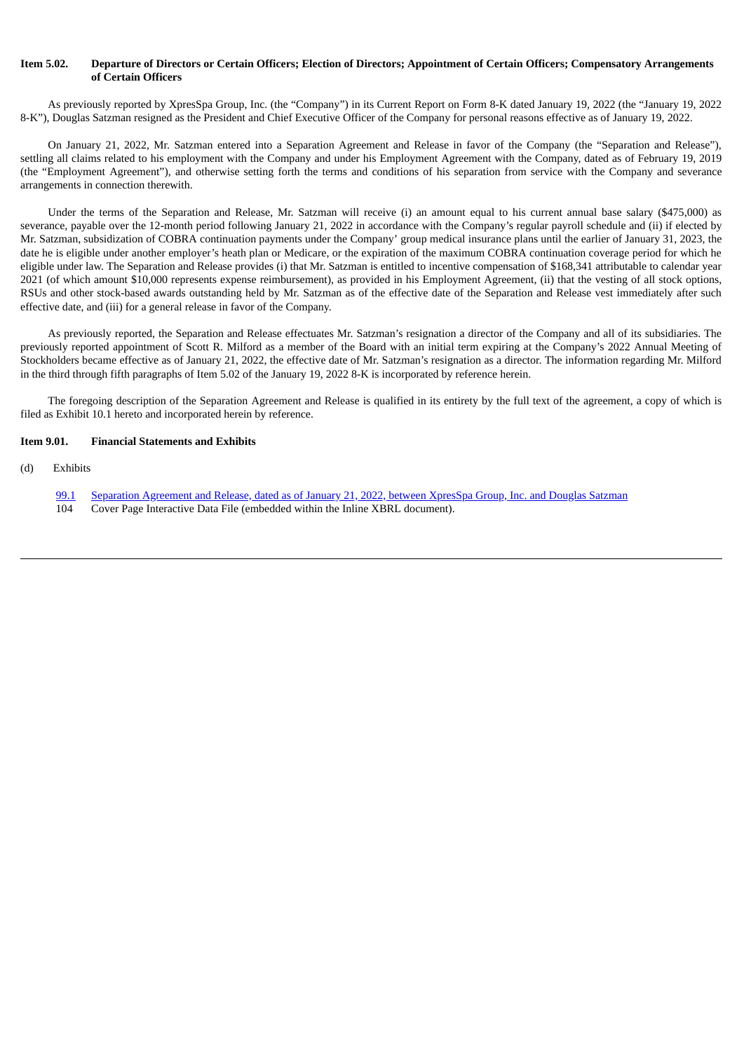## Item 5.02. Departure of Directors or Certain Officers: Election of Directors: Appointment of Certain Officers: Compensatory Arrangements **of Certain Officers**

As previously reported by XpresSpa Group, Inc. (the "Company") in its Current Report on Form 8-K dated January 19, 2022 (the "January 19, 2022 8-K"), Douglas Satzman resigned as the President and Chief Executive Officer of the Company for personal reasons effective as of January 19, 2022.

On January 21, 2022, Mr. Satzman entered into a Separation Agreement and Release in favor of the Company (the "Separation and Release"), settling all claims related to his employment with the Company and under his Employment Agreement with the Company, dated as of February 19, 2019 (the "Employment Agreement"), and otherwise setting forth the terms and conditions of his separation from service with the Company and severance arrangements in connection therewith.

Under the terms of the Separation and Release, Mr. Satzman will receive (i) an amount equal to his current annual base salary (\$475,000) as severance, payable over the 12-month period following January 21, 2022 in accordance with the Company's regular payroll schedule and (ii) if elected by Mr. Satzman, subsidization of COBRA continuation payments under the Company' group medical insurance plans until the earlier of January 31, 2023, the date he is eligible under another employer's heath plan or Medicare, or the expiration of the maximum COBRA continuation coverage period for which he eligible under law. The Separation and Release provides (i) that Mr. Satzman is entitled to incentive compensation of \$168,341 attributable to calendar year 2021 (of which amount \$10,000 represents expense reimbursement), as provided in his Employment Agreement, (ii) that the vesting of all stock options, RSUs and other stock-based awards outstanding held by Mr. Satzman as of the effective date of the Separation and Release vest immediately after such effective date, and (iii) for a general release in favor of the Company.

As previously reported, the Separation and Release effectuates Mr. Satzman's resignation a director of the Company and all of its subsidiaries. The previously reported appointment of Scott R. Milford as a member of the Board with an initial term expiring at the Company's 2022 Annual Meeting of Stockholders became effective as of January 21, 2022, the effective date of Mr. Satzman's resignation as a director. The information regarding Mr. Milford in the third through fifth paragraphs of Item 5.02 of the January 19, 2022 8-K is incorporated by reference herein.

The foregoing description of the Separation Agreement and Release is qualified in its entirety by the full text of the agreement, a copy of which is filed as Exhibit 10.1 hereto and incorporated herein by reference.

#### **Item 9.01. Financial Statements and Exhibits**

- (d) Exhibits
	- [99.1](#page-3-0) Separation [Agreement](#page-3-0) and Release, dated as of January 21, 2022, between XpresSpa Group, Inc. and Douglas Satzman
	- 104 Cover Page Interactive Data File (embedded within the Inline XBRL document).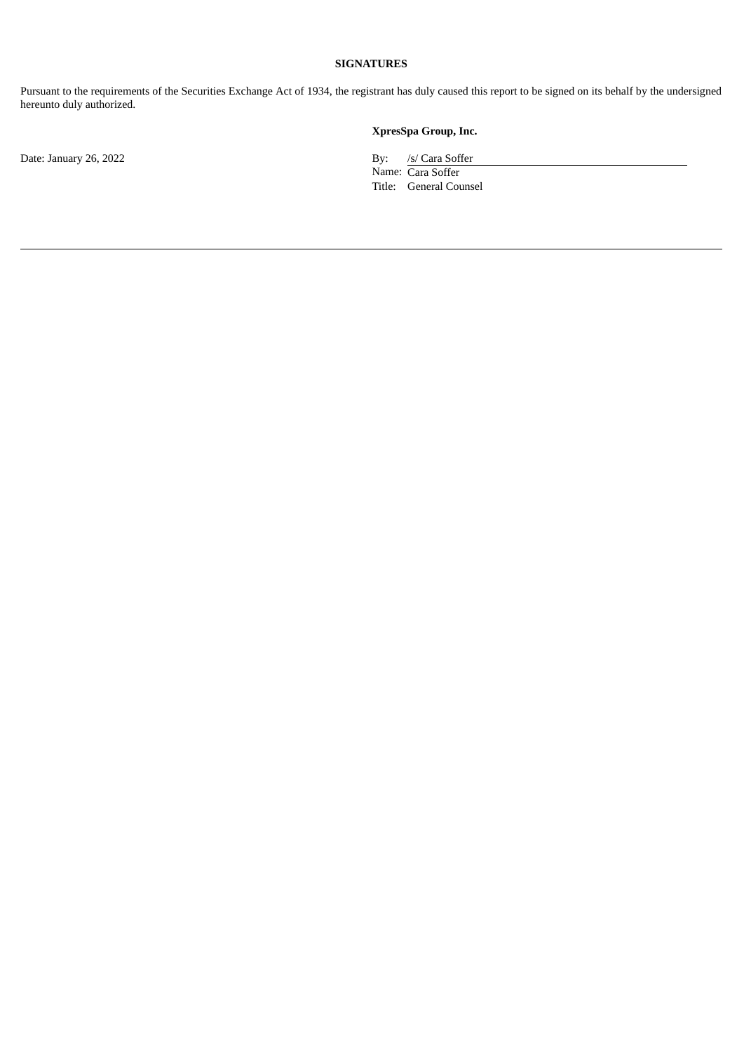## **SIGNATURES**

Pursuant to the requirements of the Securities Exchange Act of 1934, the registrant has duly caused this report to be signed on its behalf by the undersigned hereunto duly authorized.

Date: January 26, 2022 By: /s/ Cara Soffer

**XpresSpa Group, Inc.**

Name: Cara Soffer Title: General Counsel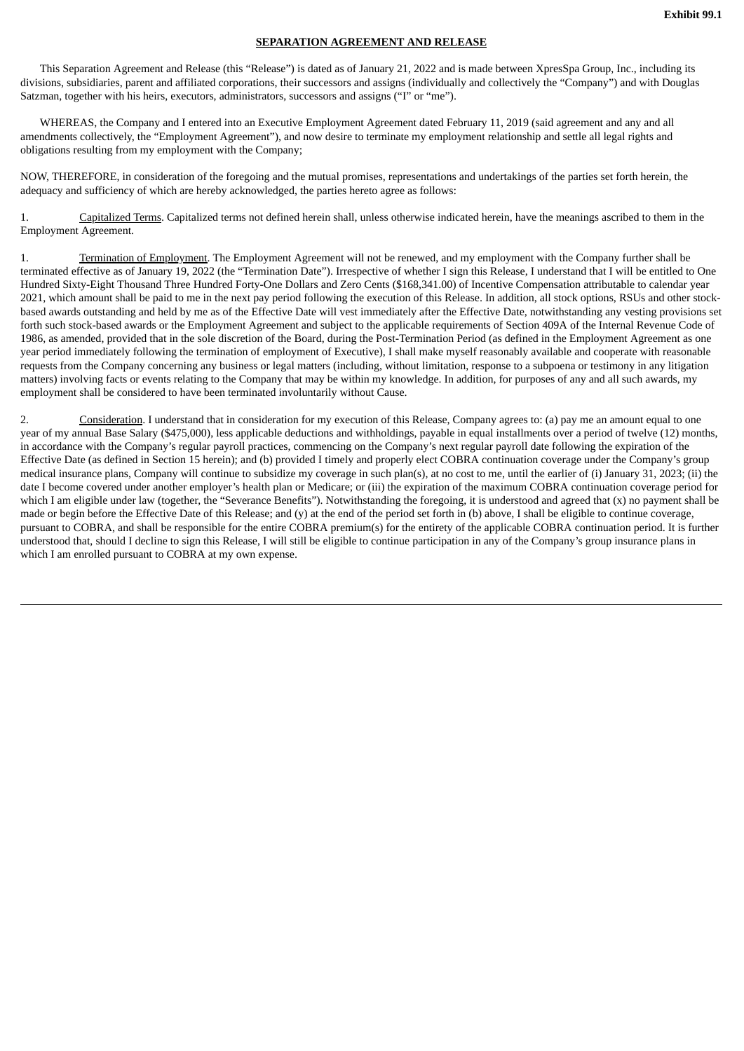## **SEPARATION AGREEMENT AND RELEASE**

<span id="page-3-0"></span>This Separation Agreement and Release (this "Release") is dated as of January 21, 2022 and is made between XpresSpa Group, Inc., including its divisions, subsidiaries, parent and affiliated corporations, their successors and assigns (individually and collectively the "Company") and with Douglas Satzman, together with his heirs, executors, administrators, successors and assigns ("I" or "me").

WHEREAS, the Company and I entered into an Executive Employment Agreement dated February 11, 2019 (said agreement and any and all amendments collectively, the "Employment Agreement"), and now desire to terminate my employment relationship and settle all legal rights and obligations resulting from my employment with the Company;

NOW, THEREFORE, in consideration of the foregoing and the mutual promises, representations and undertakings of the parties set forth herein, the adequacy and sufficiency of which are hereby acknowledged, the parties hereto agree as follows:

1. Capitalized Terms. Capitalized terms not defined herein shall, unless otherwise indicated herein, have the meanings ascribed to them in the Employment Agreement.

1. Termination of Employment. The Employment Agreement will not be renewed, and my employment with the Company further shall be terminated effective as of January 19, 2022 (the "Termination Date"). Irrespective of whether I sign this Release, I understand that I will be entitled to One Hundred Sixty-Eight Thousand Three Hundred Forty-One Dollars and Zero Cents (\$168,341.00) of Incentive Compensation attributable to calendar year 2021, which amount shall be paid to me in the next pay period following the execution of this Release. In addition, all stock options, RSUs and other stockbased awards outstanding and held by me as of the Effective Date will vest immediately after the Effective Date, notwithstanding any vesting provisions set forth such stock-based awards or the Employment Agreement and subject to the applicable requirements of Section 409A of the Internal Revenue Code of 1986, as amended, provided that in the sole discretion of the Board, during the Post-Termination Period (as defined in the Employment Agreement as one year period immediately following the termination of employment of Executive), I shall make myself reasonably available and cooperate with reasonable requests from the Company concerning any business or legal matters (including, without limitation, response to a subpoena or testimony in any litigation matters) involving facts or events relating to the Company that may be within my knowledge. In addition, for purposes of any and all such awards, my employment shall be considered to have been terminated involuntarily without Cause.

2. Consideration. I understand that in consideration for my execution of this Release, Company agrees to: (a) pay me an amount equal to one year of my annual Base Salary (\$475,000), less applicable deductions and withholdings, payable in equal installments over a period of twelve (12) months, in accordance with the Company's regular payroll practices, commencing on the Company's next regular payroll date following the expiration of the Effective Date (as defined in Section 15 herein); and (b) provided I timely and properly elect COBRA continuation coverage under the Company's group medical insurance plans, Company will continue to subsidize my coverage in such plan(s), at no cost to me, until the earlier of (i) January 31, 2023; (ii) the date I become covered under another employer's health plan or Medicare; or (iii) the expiration of the maximum COBRA continuation coverage period for which I am eligible under law (together, the "Severance Benefits"). Notwithstanding the foregoing, it is understood and agreed that (x) no payment shall be made or begin before the Effective Date of this Release; and (y) at the end of the period set forth in (b) above, I shall be eligible to continue coverage, pursuant to COBRA, and shall be responsible for the entire COBRA premium(s) for the entirety of the applicable COBRA continuation period. It is further understood that, should I decline to sign this Release, I will still be eligible to continue participation in any of the Company's group insurance plans in which I am enrolled pursuant to COBRA at my own expense.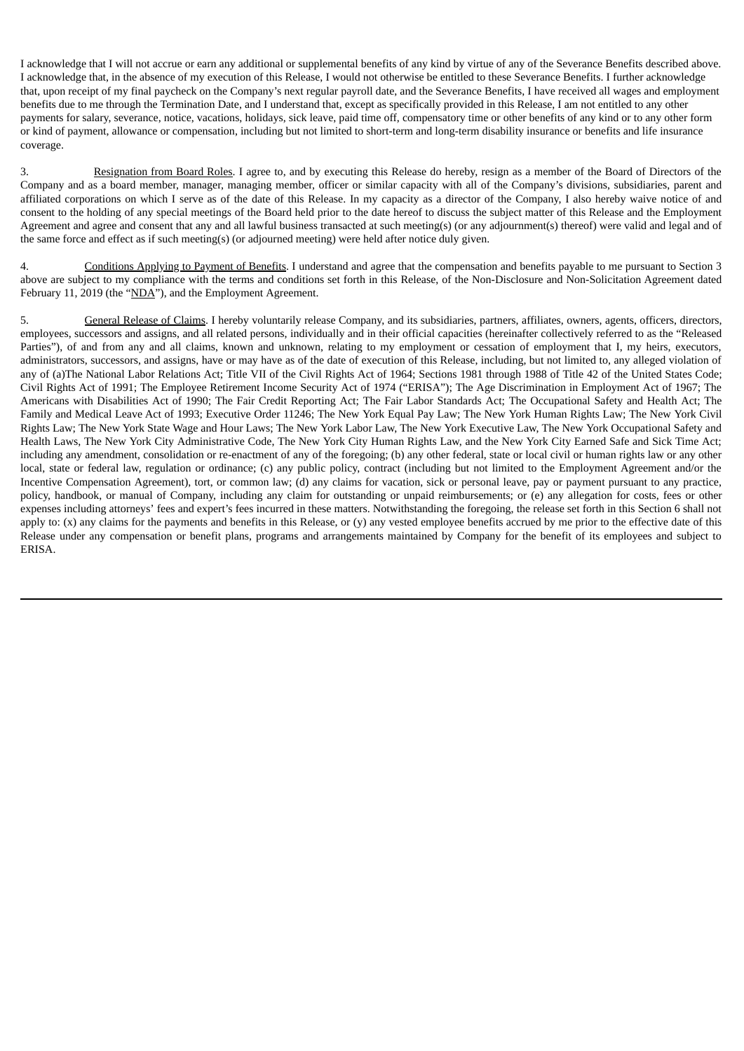I acknowledge that I will not accrue or earn any additional or supplemental benefits of any kind by virtue of any of the Severance Benefits described above. I acknowledge that, in the absence of my execution of this Release, I would not otherwise be entitled to these Severance Benefits. I further acknowledge that, upon receipt of my final paycheck on the Company's next regular payroll date, and the Severance Benefits, I have received all wages and employment benefits due to me through the Termination Date, and I understand that, except as specifically provided in this Release, I am not entitled to any other payments for salary, severance, notice, vacations, holidays, sick leave, paid time off, compensatory time or other benefits of any kind or to any other form or kind of payment, allowance or compensation, including but not limited to short-term and long-term disability insurance or benefits and life insurance coverage.

3. Resignation from Board Roles. I agree to, and by executing this Release do hereby, resign as a member of the Board of Directors of the Company and as a board member, manager, managing member, officer or similar capacity with all of the Company's divisions, subsidiaries, parent and affiliated corporations on which I serve as of the date of this Release. In my capacity as a director of the Company, I also hereby waive notice of and consent to the holding of any special meetings of the Board held prior to the date hereof to discuss the subject matter of this Release and the Employment Agreement and agree and consent that any and all lawful business transacted at such meeting(s) (or any adjournment(s) thereof) were valid and legal and of the same force and effect as if such meeting(s) (or adjourned meeting) were held after notice duly given.

4. Conditions Applying to Payment of Benefits. I understand and agree that the compensation and benefits payable to me pursuant to Section 3 above are subject to my compliance with the terms and conditions set forth in this Release, of the Non-Disclosure and Non-Solicitation Agreement dated February 11, 2019 (the "NDA"), and the Employment Agreement.

5. General Release of Claims. I hereby voluntarily release Company, and its subsidiaries, partners, affiliates, owners, agents, officers, directors, employees, successors and assigns, and all related persons, individually and in their official capacities (hereinafter collectively referred to as the "Released Parties"), of and from any and all claims, known and unknown, relating to my employment or cessation of employment that I, my heirs, executors, administrators, successors, and assigns, have or may have as of the date of execution of this Release, including, but not limited to, any alleged violation of any of (a)The National Labor Relations Act; Title VII of the Civil Rights Act of 1964; Sections 1981 through 1988 of Title 42 of the United States Code; Civil Rights Act of 1991; The Employee Retirement Income Security Act of 1974 ("ERISA"); The Age Discrimination in Employment Act of 1967; The Americans with Disabilities Act of 1990; The Fair Credit Reporting Act; The Fair Labor Standards Act; The Occupational Safety and Health Act; The Family and Medical Leave Act of 1993; Executive Order 11246; The New York Equal Pay Law; The New York Human Rights Law; The New York Civil Rights Law; The New York State Wage and Hour Laws; The New York Labor Law, The New York Executive Law, The New York Occupational Safety and Health Laws, The New York City Administrative Code, The New York City Human Rights Law, and the New York City Earned Safe and Sick Time Act; including any amendment, consolidation or re-enactment of any of the foregoing; (b) any other federal, state or local civil or human rights law or any other local, state or federal law, regulation or ordinance; (c) any public policy, contract (including but not limited to the Employment Agreement and/or the Incentive Compensation Agreement), tort, or common law; (d) any claims for vacation, sick or personal leave, pay or payment pursuant to any practice, policy, handbook, or manual of Company, including any claim for outstanding or unpaid reimbursements; or (e) any allegation for costs, fees or other expenses including attorneys' fees and expert's fees incurred in these matters. Notwithstanding the foregoing, the release set forth in this Section 6 shall not apply to:  $(x)$  any claims for the payments and benefits in this Release, or  $(y)$  any vested employee benefits accrued by me prior to the effective date of this Release under any compensation or benefit plans, programs and arrangements maintained by Company for the benefit of its employees and subject to ERISA.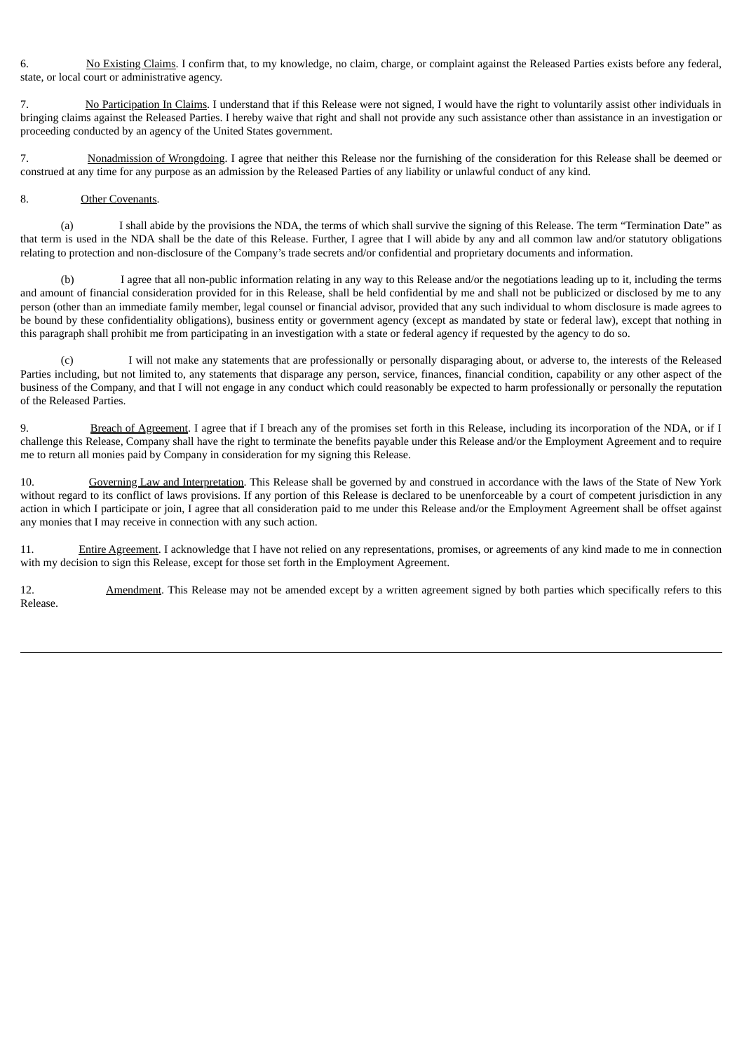6. No Existing Claims. I confirm that, to my knowledge, no claim, charge, or complaint against the Released Parties exists before any federal, state, or local court or administrative agency.

7. No Participation In Claims. I understand that if this Release were not signed, I would have the right to voluntarily assist other individuals in bringing claims against the Released Parties. I hereby waive that right and shall not provide any such assistance other than assistance in an investigation or proceeding conducted by an agency of the United States government.

7. Nonadmission of Wrongdoing. I agree that neither this Release nor the furnishing of the consideration for this Release shall be deemed or construed at any time for any purpose as an admission by the Released Parties of any liability or unlawful conduct of any kind.

### 8. Other Covenants.

(a) I shall abide by the provisions the NDA, the terms of which shall survive the signing of this Release. The term "Termination Date" as that term is used in the NDA shall be the date of this Release. Further, I agree that I will abide by any and all common law and/or statutory obligations relating to protection and non-disclosure of the Company's trade secrets and/or confidential and proprietary documents and information.

(b) I agree that all non-public information relating in any way to this Release and/or the negotiations leading up to it, including the terms and amount of financial consideration provided for in this Release, shall be held confidential by me and shall not be publicized or disclosed by me to any person (other than an immediate family member, legal counsel or financial advisor, provided that any such individual to whom disclosure is made agrees to be bound by these confidentiality obligations), business entity or government agency (except as mandated by state or federal law), except that nothing in this paragraph shall prohibit me from participating in an investigation with a state or federal agency if requested by the agency to do so.

I will not make any statements that are professionally or personally disparaging about, or adverse to, the interests of the Released Parties including, but not limited to, any statements that disparage any person, service, finances, financial condition, capability or any other aspect of the business of the Company, and that I will not engage in any conduct which could reasonably be expected to harm professionally or personally the reputation of the Released Parties.

9. Breach of Agreement. I agree that if I breach any of the promises set forth in this Release, including its incorporation of the NDA, or if I challenge this Release, Company shall have the right to terminate the benefits payable under this Release and/or the Employment Agreement and to require me to return all monies paid by Company in consideration for my signing this Release.

10. Governing Law and Interpretation. This Release shall be governed by and construed in accordance with the laws of the State of New York without regard to its conflict of laws provisions. If any portion of this Release is declared to be unenforceable by a court of competent jurisdiction in any action in which I participate or join, I agree that all consideration paid to me under this Release and/or the Employment Agreement shall be offset against any monies that I may receive in connection with any such action.

11. Entire Agreement. I acknowledge that I have not relied on any representations, promises, or agreements of any kind made to me in connection with my decision to sign this Release, except for those set forth in the Employment Agreement.

12. Amendment. This Release may not be amended except by a written agreement signed by both parties which specifically refers to this Release.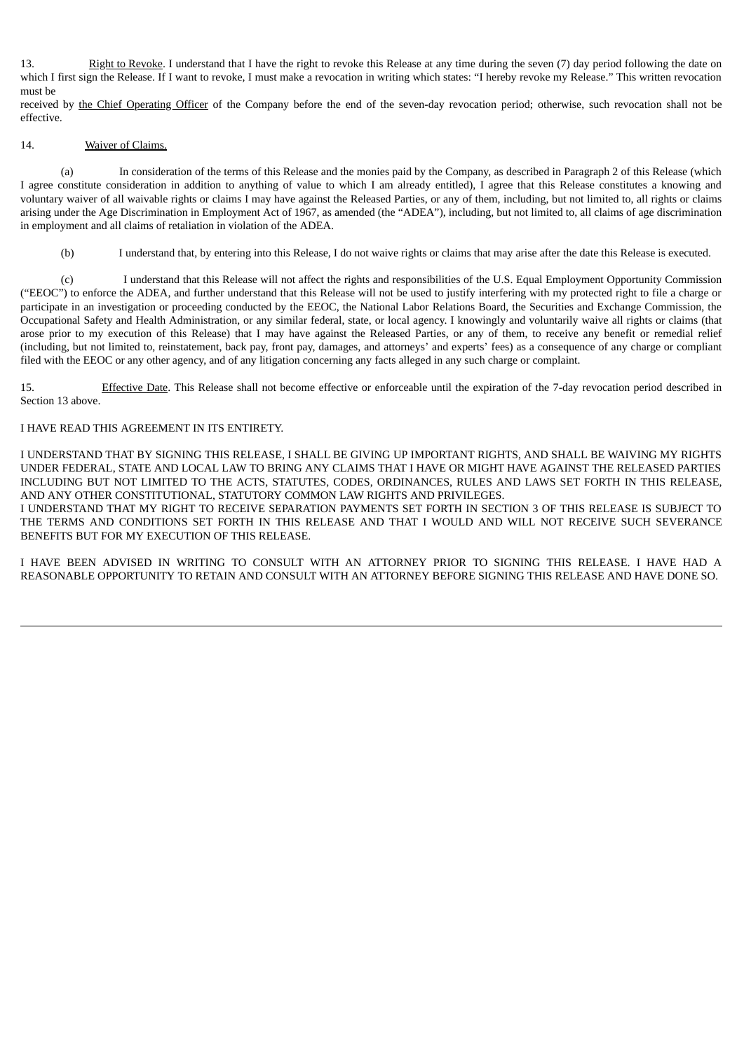13. Right to Revoke. I understand that I have the right to revoke this Release at any time during the seven (7) day period following the date on which I first sign the Release. If I want to revoke, I must make a revocation in writing which states: "I hereby revoke my Release." This written revocation must be

received by the Chief Operating Officer of the Company before the end of the seven-day revocation period; otherwise, such revocation shall not be effective.

## 14. Waiver of Claims.

(a) In consideration of the terms of this Release and the monies paid by the Company, as described in Paragraph 2 of this Release (which I agree constitute consideration in addition to anything of value to which I am already entitled), I agree that this Release constitutes a knowing and voluntary waiver of all waivable rights or claims I may have against the Released Parties, or any of them, including, but not limited to, all rights or claims arising under the Age Discrimination in Employment Act of 1967, as amended (the "ADEA"), including, but not limited to, all claims of age discrimination in employment and all claims of retaliation in violation of the ADEA.

(b) I understand that, by entering into this Release, I do not waive rights or claims that may arise after the date this Release is executed.

(c) I understand that this Release will not affect the rights and responsibilities of the U.S. Equal Employment Opportunity Commission ("EEOC") to enforce the ADEA, and further understand that this Release will not be used to justify interfering with my protected right to file a charge or participate in an investigation or proceeding conducted by the EEOC, the National Labor Relations Board, the Securities and Exchange Commission, the Occupational Safety and Health Administration, or any similar federal, state, or local agency. I knowingly and voluntarily waive all rights or claims (that arose prior to my execution of this Release) that I may have against the Released Parties, or any of them, to receive any benefit or remedial relief (including, but not limited to, reinstatement, back pay, front pay, damages, and attorneys' and experts' fees) as a consequence of any charge or compliant filed with the EEOC or any other agency, and of any litigation concerning any facts alleged in any such charge or complaint.

15. Effective Date. This Release shall not become effective or enforceable until the expiration of the 7-day revocation period described in Section 13 above.

#### I HAVE READ THIS AGREEMENT IN ITS ENTIRETY.

I UNDERSTAND THAT BY SIGNING THIS RELEASE, I SHALL BE GIVING UP IMPORTANT RIGHTS, AND SHALL BE WAIVING MY RIGHTS UNDER FEDERAL, STATE AND LOCAL LAW TO BRING ANY CLAIMS THAT I HAVE OR MIGHT HAVE AGAINST THE RELEASED PARTIES INCLUDING BUT NOT LIMITED TO THE ACTS, STATUTES, CODES, ORDINANCES, RULES AND LAWS SET FORTH IN THIS RELEASE, AND ANY OTHER CONSTITUTIONAL, STATUTORY COMMON LAW RIGHTS AND PRIVILEGES.

I UNDERSTAND THAT MY RIGHT TO RECEIVE SEPARATION PAYMENTS SET FORTH IN SECTION 3 OF THIS RELEASE IS SUBJECT TO THE TERMS AND CONDITIONS SET FORTH IN THIS RELEASE AND THAT I WOULD AND WILL NOT RECEIVE SUCH SEVERANCE BENEFITS BUT FOR MY EXECUTION OF THIS RELEASE.

I HAVE BEEN ADVISED IN WRITING TO CONSULT WITH AN ATTORNEY PRIOR TO SIGNING THIS RELEASE. I HAVE HAD A REASONABLE OPPORTUNITY TO RETAIN AND CONSULT WITH AN ATTORNEY BEFORE SIGNING THIS RELEASE AND HAVE DONE SO.